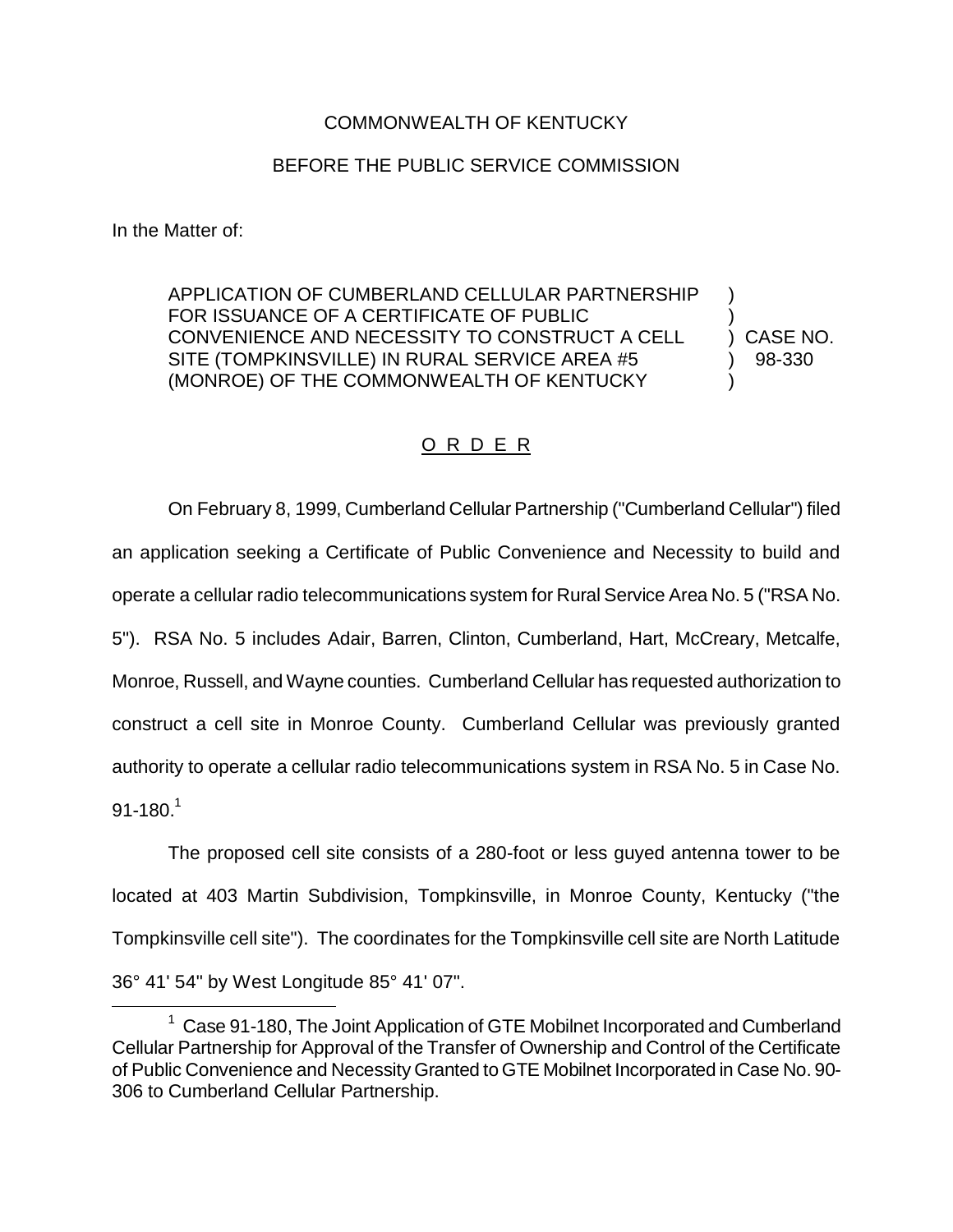## COMMONWEALTH OF KENTUCKY

## BEFORE THE PUBLIC SERVICE COMMISSION

In the Matter of:

APPLICATION OF CUMBERLAND CELLULAR PARTNERSHIP ) FOR ISSUANCE OF A CERTIFICATE OF PUBLIC ) CONVENIENCE AND NECESSITY TO CONSTRUCT A CELL ) CASE NO. SITE (TOMPKINSVILLE) IN RURAL SERVICE AREA #5 (38-330) (MONROE) OF THE COMMONWEALTH OF KENTUCKY )

## O R D E R

On February 8, 1999, Cumberland Cellular Partnership ("Cumberland Cellular") filed an application seeking a Certificate of Public Convenience and Necessity to build and operate a cellular radio telecommunications system for Rural Service Area No. 5 ("RSA No. 5"). RSA No. 5 includes Adair, Barren, Clinton, Cumberland, Hart, McCreary, Metcalfe, Monroe, Russell, and Wayne counties. Cumberland Cellular has requested authorization to construct a cell site in Monroe County. Cumberland Cellular was previously granted authority to operate a cellular radio telecommunications system in RSA No. 5 in Case No.  $91 - 180.<sup>1</sup>$ 

The proposed cell site consists of a 280-foot or less guyed antenna tower to be located at 403 Martin Subdivision, Tompkinsville, in Monroe County, Kentucky ("the Tompkinsville cell site"). The coordinates for the Tompkinsville cell site are North Latitude 36° 41' 54" by West Longitude 85° 41' 07".

<sup>&</sup>lt;sup>1</sup> Case 91-180, The Joint Application of GTE Mobilnet Incorporated and Cumberland Cellular Partnership for Approval of the Transfer of Ownership and Control of the Certificate of Public Convenience and Necessity Granted to GTE Mobilnet Incorporated in Case No. 90- 306 to Cumberland Cellular Partnership.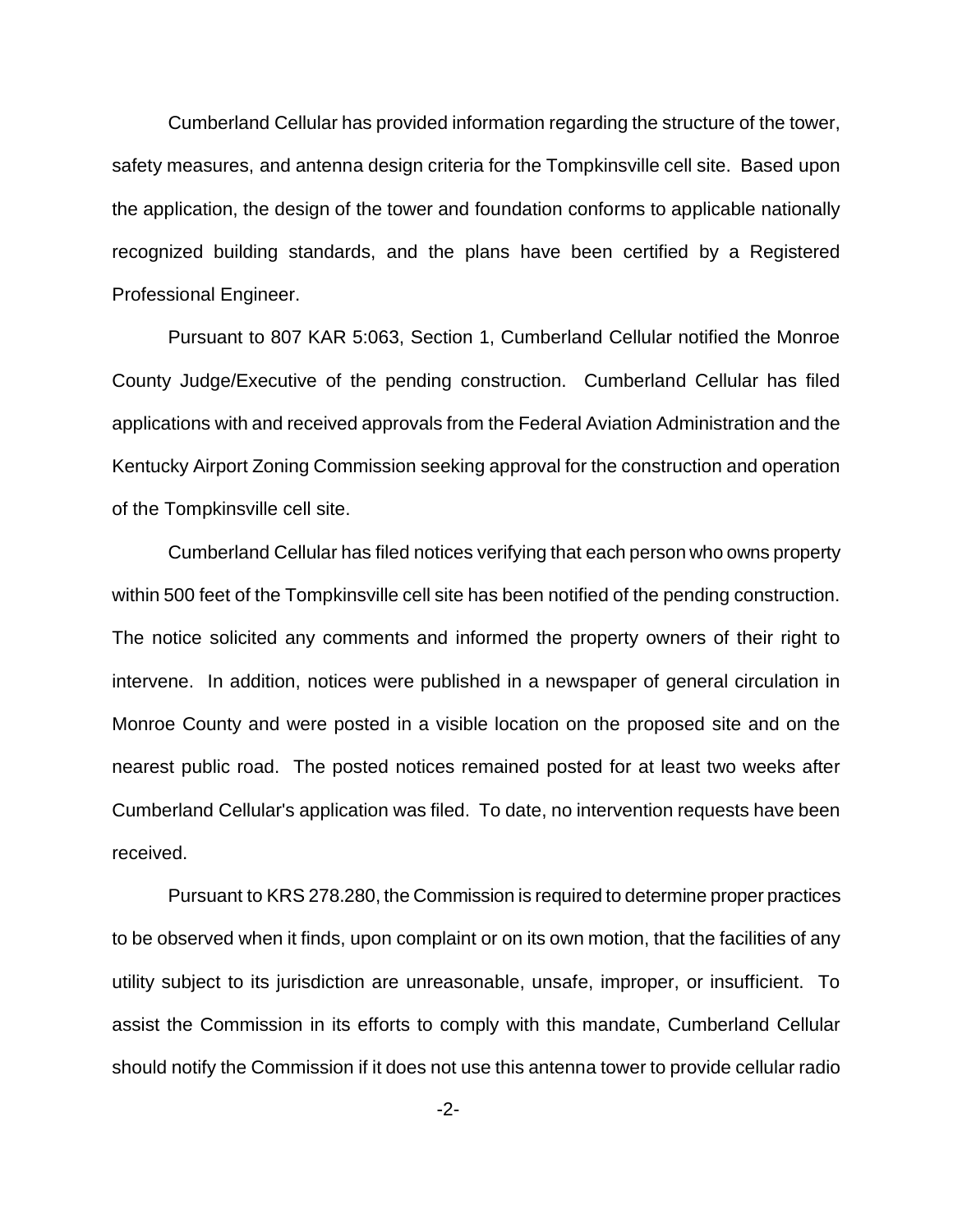Cumberland Cellular has provided information regarding the structure of the tower, safety measures, and antenna design criteria for the Tompkinsville cell site. Based upon the application, the design of the tower and foundation conforms to applicable nationally recognized building standards, and the plans have been certified by a Registered Professional Engineer.

Pursuant to 807 KAR 5:063, Section 1, Cumberland Cellular notified the Monroe County Judge/Executive of the pending construction. Cumberland Cellular has filed applications with and received approvals from the Federal Aviation Administration and the Kentucky Airport Zoning Commission seeking approval for the construction and operation of the Tompkinsville cell site.

Cumberland Cellular has filed notices verifying that each person who owns property within 500 feet of the Tompkinsville cell site has been notified of the pending construction. The notice solicited any comments and informed the property owners of their right to intervene. In addition, notices were published in a newspaper of general circulation in Monroe County and were posted in a visible location on the proposed site and on the nearest public road. The posted notices remained posted for at least two weeks after Cumberland Cellular's application was filed. To date, no intervention requests have been received.

Pursuant to KRS 278.280, the Commission is required to determine proper practices to be observed when it finds, upon complaint or on its own motion, that the facilities of any utility subject to its jurisdiction are unreasonable, unsafe, improper, or insufficient. To assist the Commission in its efforts to comply with this mandate, Cumberland Cellular should notify the Commission if it does not use this antenna tower to provide cellular radio

-2-